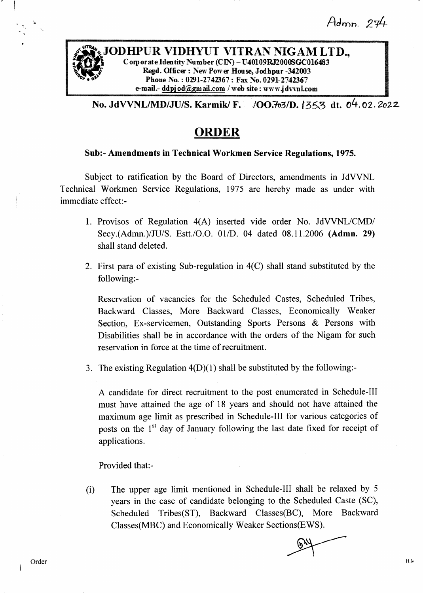$Admn$ . 274



No. JdVVNL/MD/JU/S. Karmik/ F. 700.7o3/D. 1353 dt. 04.02.2o22

# ORDER

## Sub:- Amendments in Technical Workmen Service Regulations, 1975,

Subject to ratification by the Board of Directors, amendments in JdWNL Technical Workmen Service Regulations, 1975 are hereby made as under with immediate effect:-

- l. Provisos of Regulation 4(A) inserted vide order No. JdWNL/CMD/ Secy.(Admn.)/JU/S. Estt./O.O. 01/D. 04 dated 08.11.2006 (Admn. 29) shall stand deleted.
- 2. First para of existing Sub-regulation in 4(C) shall stand substituted by the following:-

Reservation of vacancies for the Scheduled Castes, Scheduled Tribes, Backward Classes, More Backward Classes, Economically Weaker Section, Ex-servicemen, Outstanding Sports Persons & Persons with Disabilities shall be in accordance with the orders of the Nigam for such reservation in force at the time of recruitment.

3. The existing Regulation  $4(D)(1)$  shall be substituted by the following:-

A candidate for direct recruitment to the post enumerated in Schedule-Ill must have attained the age of 18 years and should not have attained the maximum age limit as prescribed in Schedule-Ill for various categories of posts on the  $1<sup>st</sup>$  day of January following the last date fixed for receipt of applications.

Provided that:-

(i) The upper age limit mentioned in Schedule-Ill shall be relaxed by <sup>5</sup> years in the case of candidate belonging to the Scheduled Caste (SC), Scheduled Tribes(ST), Backward Classes(BC), More Backward Classes(MBC) and Economically Weaker Sections(EWS).

'l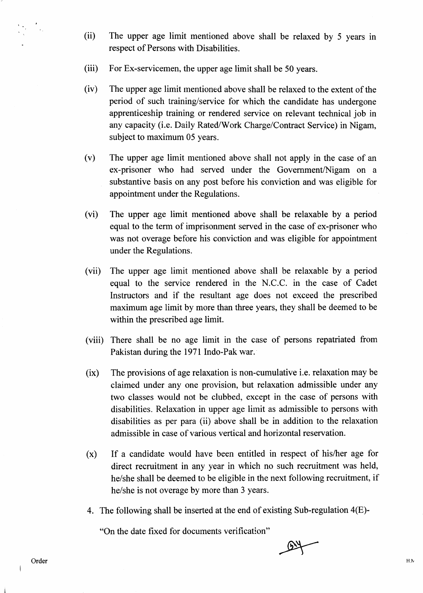- (ii) The upper age limit mentioned above shall be relaxed by 5 years in respect of Persons with Disabilities.
- (iii) For Ex-servicemen, the upper age limit shall be 50 years.
- (iv) The upper age limit mentioned above shall be relaxed to the extent of the period of such training/service for which the candidate has undergone apprenticeship training or rendered service on relevant technical job in any capacity (i.e. Daily Rated/Work Charge/Contract Service) in Nigam, subject to maximum 05 years.
- (v) The upper age limit mentioned above shall not apply in the case of an ex-prisoner who had served under the Govemment/Nigam on <sup>a</sup> substantive basis on any post before his conviction and was eligible for appointment under the Regulations.
- (vi) The upper age limit mentioned above shall be relaxable by a period equal to the term of imprisonment served in the case of ex-prisoner who was not overage before his conviction and was eligible for appointment under the Regulations.
- (vii) The upper age limit mentioned above shall be relaxable by a period equal to the service rendered in the N.C.C. in the case of Cadet Instructors and if the resultant age does not exceed the prescribed maximum age limit by more than three years, they shall be deemed to be within the prescribed age limit.
- (viii) There shall be no age limit in the case of persons repatriated from Pakistan during the 1971 Indo-Pak war.
- (ix) The provisions of age relaxation is non-cumulative i.e. relaxation may be claimed under any one provision, but relaxation admissible under any two classes would not be clubbed, except in the case of persons with disabilities. Relaxation in upper age limit as admissible to persons with disabilities as per para (ii) above shall be in addition to the relaxation admissible in case of various vertical and horizontal reservation.
- $(x)$  If a candidate would have been entitled in respect of his/her age for direct recruitment in any year in which no such recruitment was held, he/she shall be deemed to be eligible in the next following recruitment, if he/she is not overage by more than 3 years.
- 4. The following shall be inserted at the end of existing Sub-regulation 4(E)-

"On the date fixed for documents verification"

 $\mathcal{L}_{\alpha}$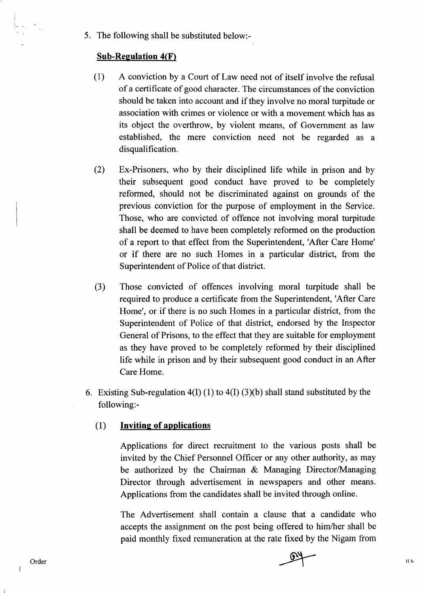5. The following shall be substituted below:-

## Sub-Regulation  $4(F)$

I t.

- (l) A conviction by a Court of Law need not of itself involve the refusal of a certificate of good character. The circumstances of the conviction should be taken into account and if they involve no moral turpitude or association with crimes or violence or with a movement which has as its object the overthrow, by violent means, of Government as law established, the mere conviction need not be regarded as <sup>a</sup> disqualification.
- Ex-Prisoners, who by their disciplined life while in prison and by their subsequent good conduct have proved to be completely reformed, should not be discriminated against on grounds of the previous conviction for the purpose of employment in the Service. Those, who are convicted of offence not involving moral turpitude shall be deemed to have been completely reformed on the production of a report to that effect from the Superintendent, 'After Care Home' or if there are no such Homes in a particular district, from the Superintendent of Police of that district. (2)
- Those convicted of offences involving moral turpitude shall be required to produce a certihcate from the Superintendent, 'After Care Home', or if there is no such Homes in a particular district, from the Superintendent of Police of that district, endorsed by the Inspector General of Prisons, to the effect that they are suitable for employment as they have proved to be completely reformed by their disciplined life while in prison and by their subsequent good conduct in an After Care Home. (3)
- 6. Existing Sub-regulation  $4(I) (1)$  to  $4(I) (3)(b)$  shall stand substituted by the following:-

## $(1)$  Inviting of applications

Applications for direct recruitment to the various posts shall be invited by the Chief Personnel Officer or any other authority, as may be authorized by the Chairman  $\&$  Managing Director/Managing Director through advertisement in newspapers and other means. Applications from the candidates shall be invited through online.

The Advertisement shall contain a clause that a candidate who accepts the assignment on the post being offered to him/her shall be paid monthly fixed remuneration at the rate fixed by the Nigam from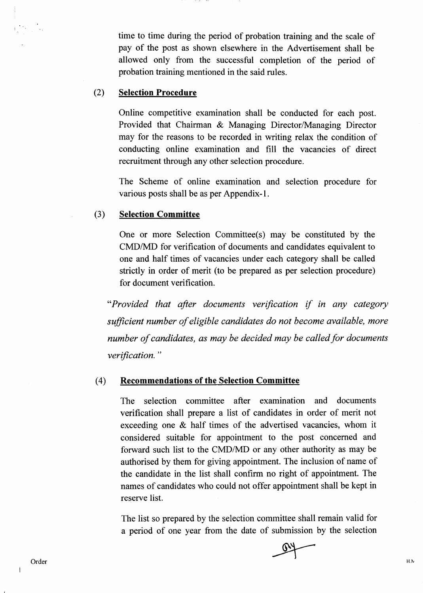time to time during the period of probation training and the scale of pay of the post as shown elsewhere in the Advertisement shall be allowed only from the successful completion of the period of probation training mentioned in the said rules.

#### (2) Selection Procedure

Online competitive examination shall be conducted for each post. Provided that Chairman & Managing Director/Managing Director may for the reasons to be recorded in writing relax the condition of conducting online examination arrd fill the vacancies of direct recruitment through any other selection procedure.

The Scheme of online examination and selection procedure for various posts shall be as per Appendix-1.

#### (3) Selection Committee

One or more Selection Committee(s) may be constituted by the CMD/MD for verification of documents and candidates equivalent to one and half times of vacancies under each category shall be called strictly in order of merit (to be prepared as per selection procedure) for document verification.

"Provided that after documents verification if in any category sufficient number of eligible candidates do not become available, more number of candidates, as may be decided may be called for documents verification."

#### (4) Recommendations of the Selection Committee

The selection committee after examination and documents verification shall prepare a list of candidates in order of merit not exceeding one & half times of the advertised vacancies, whom it considered suitable for appointment to the post concerned and forward such list to the CMD/MD or any other authority as may be authorised by them for giving appointment. The inclusion of name of the candidate in the list shall confirm no right of appointrnent. The names of candidates who could not offer appointment shall be kept in reserve list.

The list so prepared by the selection committee shall remain valid for a period of one year from the date of submission by the selection

 $\mathbf{I}$ 

H<sub>N</sub>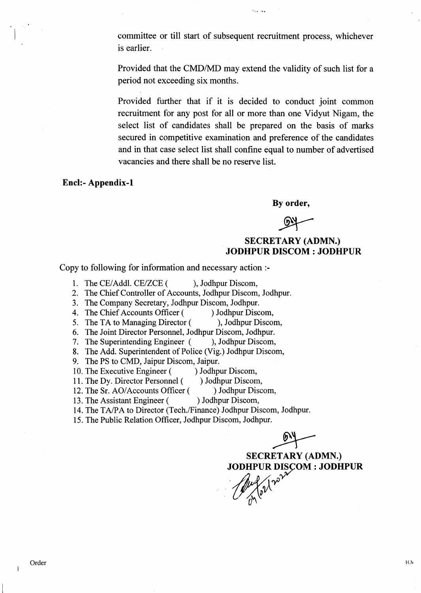committee or till start of subsequent recruitment process, whichever is earlier.

ستورين والأر

Provided that the CMD/MD may extend the validity of such list for a period not exceeding six months.

Provided further that if it is decided to conduct joint common recruitment for any post for all or more than one Vidyut Nigam, the select list of candidates shall be prepared on the basis of marks secured in competitive examination and preference of the candidates and in that case select list shall confine equal to number of advertised vacancies and there shall be no reserve list.

Encl:- Appendix-l

By order,

# SECRETARY (ADMN.) JODHPUR DISCOM : JODHPUR

Copy to following for information and necessary action :-

1. The CE/Addl. CE/ZCE ( ), Jodhpur Discom,<br>2. The Chief Controller of Accounts, Jodhpur Discom

2. The Chief Controller of Accounts, Jodhpur Discom, Jodhpur.

3. The Company Secretary, Jodhpur Discom, Jodhpur.<br>4. The Chief Accounts Officer () Jodhpur Discom,

4. The Chief Accounts Officer () Jodhpur Discom,<br>5. The TA to Managing Director (), Jodhpur Discom,

5. The TA to Managing Director (

6. The Joint Director Personnel, Jodhpur Discom, Jodhpur.

- 7. The Superintending Engineer (), Jodhpur Discom,
- 8. The Add. Superintendent of Police (Vig.) Jodhpur Discom,
- 9. The PS to CMD, Jaipur Discom, Jaipur.<br>10. The Executive Engineer () Jodhpur Discom,
- 
- 10. The Executive Engineer () Jodhpur Discom,<br>11. The Dy. Director Personnel () Jodhpur Discom,
- 11. The Dy. Director Personnel ( ) Jodhpur Discom,<br>12. The Sr. AO/Accounts Officer ( ) Jodhpur Discom, 12. The Sr. AO/Accounts Officer (
- 13. The Assistant Engineer ( ) Jodhpur Discom,
- 14. The TA/PA to Director (Tech./Finance) Jodhpur Discom, Jodhpur.
- 15. The Public Relation Officer, Jodhpur Discom, Jodhpur.

SECRETARY (ADMN.)<br>JODHPUR DISÇOM : JODHPUR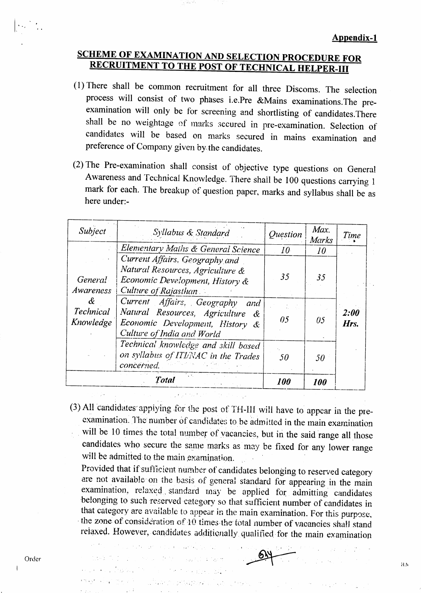# **SCHEME OF EXAMINATION AND SELECTION PROCEDURE FOR RECRUITMENT TO THE POST OF TECHNICAL HELPER-III**

- $(1)$  There shall be common recruitment for all three Discoms. The selection process will consist of two phases i.e.Pre &Mains examinations.The preexamination will only be for screening and shortlisting of candidates.There shall be no weightage of marks secured in pre-examination. Selection of candidates will be based on marks secured in mains examination and preference of Company given by the candidates.
- (2) The Pre-examination shall consist of objective type questions on Genera! Awareness and Technical Knowledge. There shall be 100 questions carrying 1 mark for each. The breakup of question paper, marks and syllabus shall be as here under:-

| Syllabus & Standard                                                                                                           | <i><u>Ouestion</u></i>                                                                                                           | Max.<br>Marks     | Time                       |
|-------------------------------------------------------------------------------------------------------------------------------|----------------------------------------------------------------------------------------------------------------------------------|-------------------|----------------------------|
|                                                                                                                               | 10 <sup>°</sup>                                                                                                                  | 10 <sup>°</sup>   |                            |
| Current Affairs, Geography and<br>Natural Resources, Agriculture &<br>Economic Development, History &<br>Culture of Rajasthan | 35                                                                                                                               | 35                |                            |
| and                                                                                                                           |                                                                                                                                  |                   |                            |
| - &<br>Economic Development, History &                                                                                        | 05                                                                                                                               | 05                | <i><b>2:00</b></i><br>Hrs. |
| Technical knowledge and skill based<br>on syllabus of ITI/NAC in the Trades<br>concerned.                                     | 50                                                                                                                               | 50                |                            |
| Lis.<br><b>Total</b>                                                                                                          | 100                                                                                                                              | <i><b>100</b></i> |                            |
|                                                                                                                               | Elementary Maths & General Science<br>Current Affairs, Geography<br>Natural Resources, Agriculture<br>Culture of India and World |                   |                            |

(3) All candidates appiying for the post of TH-III will have to appear in the preexamination. The number of candidates to be admitted in the main examination will be 10 times the total number of vacancies, but in the said range all those candidates who secure the same marks as may be fixed for any lower range will be admitted to the main examination.

Provided that if sufficient number of candidates belonging to reserved category are not available on the basis of general standard for appearing in the main examination, relaxed standard may be applied for admitting candidates belonging to such reserved category so that sufficient number of candidates in that category are available to appear in the main examination. For this purpose, the zone of consideration of  $10$  times the total number of vacanoies shall stand relaxed. However, candidates additionally qualified for the main examination

 $\label{eq:2.1} \frac{1}{2}\sum_{i=1}^n\sum_{j=1}^n\frac{1}{2}\sum_{j=1}^n\sum_{j=1}^n\frac{1}{2}\sum_{j=1}^n\sum_{j=1}^n\frac{1}{2}\sum_{j=1}^n\frac{1}{2}\sum_{j=1}^n\frac{1}{2}\sum_{j=1}^n\frac{1}{2}\sum_{j=1}^n\frac{1}{2}\sum_{j=1}^n\frac{1}{2}\sum_{j=1}^n\frac{1}{2}\sum_{j=1}^n\frac{1}{2}\sum_{j=1}^n\frac{1}{2}\sum_{j=1}^n\frac{1$ 

 $\mathcal{I}_{\mathcal{A}}(\omega,\mathcal{A},\mathcal{A})=\{\mathcal{I}_{\mathcal{A}}(\omega,\mathcal{A}),\mathcal{I}_{\mathcal{A}}(\omega,\mathcal{A}),\mathcal{I}_{\mathcal{A}}(\omega,\mathcal{A}),\mathcal{I}_{\mathcal{A}}(\omega,\mathcal{A})\}$ 

The EUROPE Service of the Council of New

.<br>Protestantes de la contexte de la facta And the Annual Computer of the Computer of the Computer of the Computer of the Computer of the Computer of the<br>Second Second Second Second Second Second Second Second Second Second Second Second Second Second Second Second

I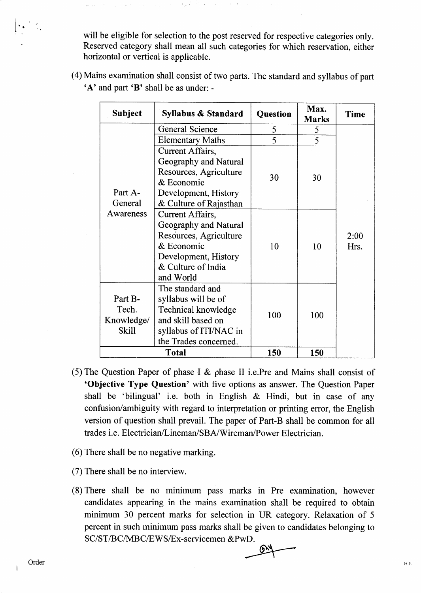will be eligible for selection to the post reserved for respective categories only. Reserved category shall mean all such categories for which reservation, either horizontal or vertical is applicable.

| <b>Subject</b>                                 | Syllabus & Standard                                                                                                                          | <b>Question</b> | Max.<br><b>Marks</b> | <b>Time</b>  |
|------------------------------------------------|----------------------------------------------------------------------------------------------------------------------------------------------|-----------------|----------------------|--------------|
| Part A-<br>General<br>Awareness                | <b>General Science</b>                                                                                                                       | 5               | 5                    |              |
|                                                | <b>Elementary Maths</b>                                                                                                                      | 5               | 5                    |              |
|                                                | Current Affairs,<br>Geography and Natural<br>Resources, Agriculture<br>& Economic<br>Development, History<br>& Culture of Rajasthan          | 30              | 30                   |              |
|                                                | Current Affairs,<br>Geography and Natural<br>Resources, Agriculture<br>& Economic<br>Development, History<br>& Culture of India<br>and World | 10              | 10                   | 2:00<br>Hrs. |
| Part B-<br>Tech.<br>Knowledge/<br><b>Skill</b> | The standard and<br>syllabus will be of<br>Technical knowledge<br>and skill based on<br>syllabus of ITI/NAC in<br>the Trades concerned.      | 100             | 100                  |              |

(4) Mains examination shall consist of two parts. The standard and syllabus of part  $A'$  and part  $B'$  shall be as under: -

(5) The Question Paper of phase I & phase II i.e.Pre and Mains shall consist of 'Objective Type Question' with five options as answer. The Question Paper shall be 'bilingual' i.e. both in English & Hindi, but in case of any confusion/ambiguity with regard to interpretation or printing error, the English version of question shall prevail. The paper of Part-B shall be common for all trades i.e. Electrician/Linemar/SBA,/Wireman/Power Electrician.

Total 150 150

- $(6)$  There shall be no negative marking.
- (7) There shall be no interview.
- (8) There shall be no minimum pass marks in Pre examination, however candidates appearing in the mains examination shall be required to obtain minimum 30 percent marks for selection in UR category. Relaxation of <sup>5</sup> percent in such minimum pass marks shall be given to candidates belonging to SC/ST/BC/MBC/EWS/Ex-servicemen &PwD.